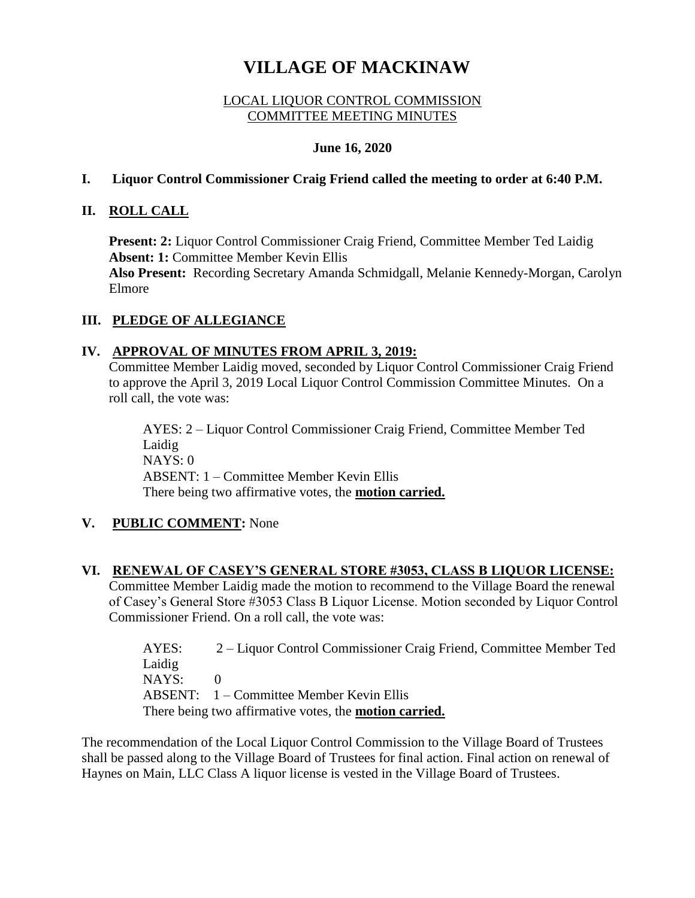# **VILLAGE OF MACKINAW**

## LOCAL LIQUOR CONTROL COMMISSION COMMITTEE MEETING MINUTES

#### **June 16, 2020**

#### **I. Liquor Control Commissioner Craig Friend called the meeting to order at 6:40 P.M.**

## **II. ROLL CALL**

**Present: 2:** Liquor Control Commissioner Craig Friend, Committee Member Ted Laidig **Absent: 1:** Committee Member Kevin Ellis **Also Present:** Recording Secretary Amanda Schmidgall, Melanie Kennedy-Morgan, Carolyn Elmore

# **III. PLEDGE OF ALLEGIANCE**

## **IV. APPROVAL OF MINUTES FROM APRIL 3, 2019:**

Commissioner Friend. On a roll call, the vote was:

Committee Member Laidig moved, seconded by Liquor Control Commissioner Craig Friend to approve the April 3, 2019 Local Liquor Control Commission Committee Minutes. On a roll call, the vote was:

AYES: 2 – Liquor Control Commissioner Craig Friend, Committee Member Ted Laidig NAYS: 0 ABSENT: 1 – Committee Member Kevin Ellis There being two affirmative votes, the **motion carried.**

# **V. PUBLIC COMMENT:** None

### **VI. RENEWAL OF CASEY'S GENERAL STORE #3053, CLASS B LIQUOR LICENSE:** Committee Member Laidig made the motion to recommend to the Village Board the renewal of Casey's General Store #3053 Class B Liquor License. Motion seconded by Liquor Control

AYES: 2 – Liquor Control Commissioner Craig Friend, Committee Member Ted Laidig NAYS: 0 ABSENT: 1 – Committee Member Kevin Ellis There being two affirmative votes, the **motion carried.** 

The recommendation of the Local Liquor Control Commission to the Village Board of Trustees shall be passed along to the Village Board of Trustees for final action. Final action on renewal of Haynes on Main, LLC Class A liquor license is vested in the Village Board of Trustees.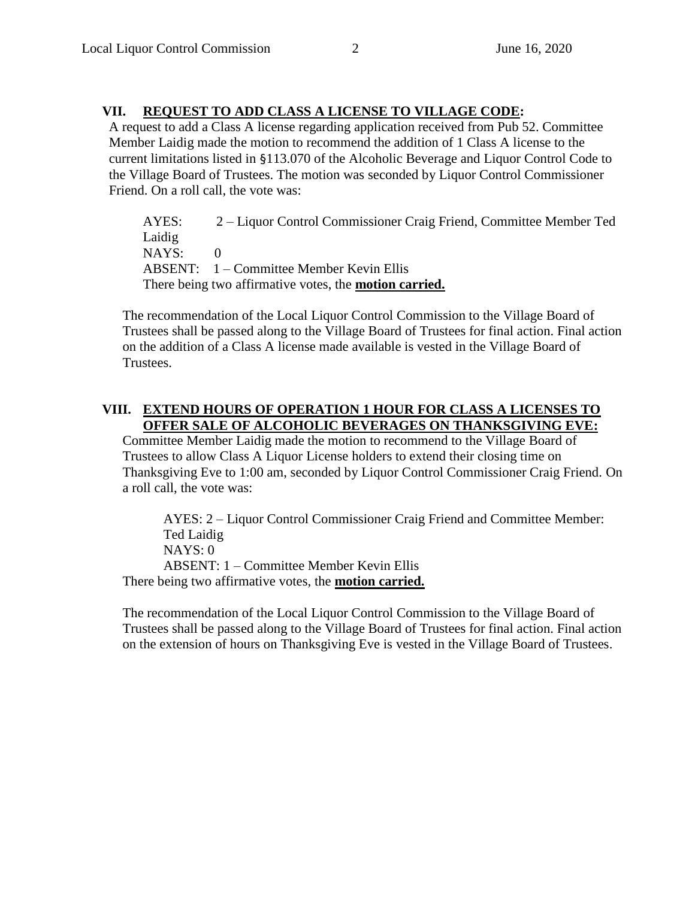# **VII. REQUEST TO ADD CLASS A LICENSE TO VILLAGE CODE:**

A request to add a Class A license regarding application received from Pub 52. Committee Member Laidig made the motion to recommend the addition of 1 Class A license to the current limitations listed in §113.070 of the Alcoholic Beverage and Liquor Control Code to the Village Board of Trustees. The motion was seconded by Liquor Control Commissioner Friend. On a roll call, the vote was:

AYES: 2 – Liquor Control Commissioner Craig Friend, Committee Member Ted Laidig NAYS: 0 ABSENT: 1 – Committee Member Kevin Ellis There being two affirmative votes, the **motion carried.** 

The recommendation of the Local Liquor Control Commission to the Village Board of Trustees shall be passed along to the Village Board of Trustees for final action. Final action on the addition of a Class A license made available is vested in the Village Board of Trustees.

# **VIII. EXTEND HOURS OF OPERATION 1 HOUR FOR CLASS A LICENSES TO OFFER SALE OF ALCOHOLIC BEVERAGES ON THANKSGIVING EVE:**

Committee Member Laidig made the motion to recommend to the Village Board of Trustees to allow Class A Liquor License holders to extend their closing time on Thanksgiving Eve to 1:00 am, seconded by Liquor Control Commissioner Craig Friend. On a roll call, the vote was:

AYES: 2 – Liquor Control Commissioner Craig Friend and Committee Member: Ted Laidig NAYS: 0 ABSENT: 1 – Committee Member Kevin Ellis There being two affirmative votes, the **motion carried.** 

The recommendation of the Local Liquor Control Commission to the Village Board of Trustees shall be passed along to the Village Board of Trustees for final action. Final action on the extension of hours on Thanksgiving Eve is vested in the Village Board of Trustees.